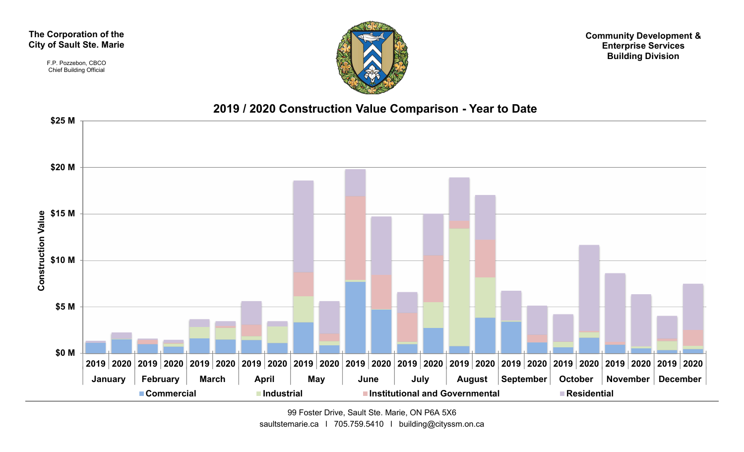#### The Corporation of the City of Sault Ste. Marie

F.P. Pozzebon, CBCO Chief Building Official



Community Development & Enterprise Services Building Division



99 Foster Drive, Sault Ste. Marie, ON P6A 5X6 saultstemarie.ca | 705.759.5410 | building@cityssm.on.ca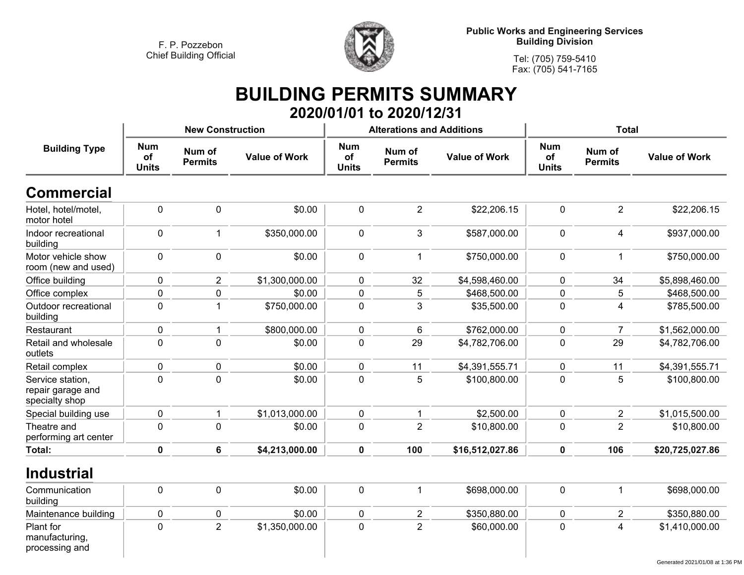

**Public Works and Engineering Services Building Division**

**Tel: (705) 759-5410Fax: (705) 541-7165**

### **BUILDING PERMITS SUMMARY 2020/01/01 to 2020/12/31**

|                                                         |                                  | <b>New Construction</b>  |                      |                                  | <b>Alterations and Additions</b> |                      | <b>Total</b>                     |                          |                      |  |
|---------------------------------------------------------|----------------------------------|--------------------------|----------------------|----------------------------------|----------------------------------|----------------------|----------------------------------|--------------------------|----------------------|--|
| <b>Building Type</b>                                    | <b>Num</b><br>of<br><b>Units</b> | Num of<br><b>Permits</b> | <b>Value of Work</b> | <b>Num</b><br>of<br><b>Units</b> | Num of<br><b>Permits</b>         | <b>Value of Work</b> | <b>Num</b><br>of<br><b>Units</b> | Num of<br><b>Permits</b> | <b>Value of Work</b> |  |
| <b>Commercial</b>                                       |                                  |                          |                      |                                  |                                  |                      |                                  |                          |                      |  |
| Hotel, hotel/motel,<br>motor hotel                      | $\pmb{0}$                        | $\mathbf 0$              | \$0.00               | $\pmb{0}$                        | $\overline{2}$                   | \$22,206.15          | $\pmb{0}$                        | $\overline{2}$           | \$22,206.15          |  |
| Indoor recreational<br>building                         | $\pmb{0}$                        | -1                       | \$350,000.00         | $\mathbf 0$                      | 3                                | \$587,000.00         | $\pmb{0}$                        | $\overline{\mathbf{4}}$  | \$937,000.00         |  |
| Motor vehicle show<br>room (new and used)               | $\pmb{0}$                        | $\mathbf 0$              | \$0.00               | $\mathbf 0$                      | $\mathbf{1}$                     | \$750,000.00         | $\pmb{0}$                        | 1                        | \$750,000.00         |  |
| Office building                                         | $\pmb{0}$                        | $\overline{2}$           | \$1,300,000.00       | $\mathbf 0$                      | 32                               | \$4,598,460.00       | $\pmb{0}$                        | 34                       | \$5,898,460.00       |  |
| Office complex                                          | $\pmb{0}$                        | $\mathbf 0$              | \$0.00               | $\pmb{0}$                        | 5                                | \$468,500.00         | $\pmb{0}$                        | 5                        | \$468,500.00         |  |
| Outdoor recreational<br>building                        | $\pmb{0}$                        | $\overline{1}$           | \$750,000.00         | $\pmb{0}$                        | $\mathfrak{B}$                   | \$35,500.00          | $\pmb{0}$                        | 4                        | \$785,500.00         |  |
| Restaurant                                              | 0                                | 1                        | \$800,000.00         | $\mathbf 0$                      | 6                                | \$762,000.00         | $\mathbf 0$                      | $\overline{7}$           | \$1,562,000.00       |  |
| Retail and wholesale<br>outlets                         | $\mathbf 0$                      | $\mathbf 0$              | \$0.00               | $\mathbf 0$                      | 29                               | \$4,782,706.00       | $\mathbf 0$                      | 29                       | \$4,782,706.00       |  |
| Retail complex                                          | $\pmb{0}$                        | $\mathbf 0$              | \$0.00               | $\mathbf 0$                      | 11                               | \$4,391,555.71       | $\pmb{0}$                        | 11                       | \$4,391,555.71       |  |
| Service station,<br>repair garage and<br>specialty shop | $\mathbf 0$                      | $\mathbf 0$              | \$0.00               | $\mathbf 0$                      | 5                                | \$100,800.00         | $\mathbf 0$                      | 5                        | \$100,800.00         |  |
| Special building use                                    | $\pmb{0}$                        | 1                        | \$1,013,000.00       | $\mathbf 0$                      | $\mathbf{1}$                     | \$2,500.00           | $\pmb{0}$                        | $\overline{2}$           | \$1,015,500.00       |  |
| Theatre and<br>performing art center                    | $\mathbf 0$                      | $\mathbf{0}$             | \$0.00               | $\mathbf 0$                      | $\overline{2}$                   | \$10,800.00          | $\mathbf 0$                      | $\overline{2}$           | \$10,800.00          |  |
| <b>Total:</b>                                           | $\mathbf 0$                      | $6\phantom{a}$           | \$4,213,000.00       | $\mathbf 0$                      | 100                              | \$16,512,027.86      | $\mathbf 0$                      | 106                      | \$20,725,027.86      |  |
| <b>Industrial</b>                                       |                                  |                          |                      |                                  |                                  |                      |                                  |                          |                      |  |
| Communication<br>building                               | $\mathbf 0$                      | $\pmb{0}$                | \$0.00               | $\pmb{0}$                        | $\mathbf{1}$                     | \$698,000.00         | $\pmb{0}$                        | $\mathbf{1}$             | \$698,000.00         |  |
| Maintenance building                                    | $\pmb{0}$                        | $\mathbf 0$              | \$0.00               | $\mathbf 0$                      | $\overline{2}$                   | \$350,880.00         | $\pmb{0}$                        | $\overline{2}$           | \$350,880.00         |  |
| Plant for<br>manufacturing,<br>processing and           | $\mathbf 0$                      | $\overline{2}$           | \$1,350,000.00       | $\mathbf 0$                      | $\overline{2}$                   | \$60,000.00          | $\mathbf 0$                      | 4                        | \$1,410,000.00       |  |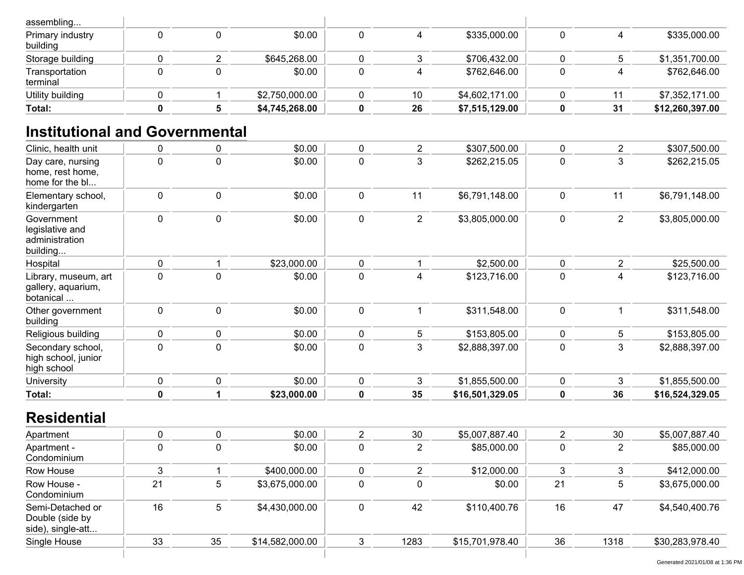| Total:                       |  | \$4,745,268.00 | 26 | \$7,515,129.00 | 31 | \$12,260,397.00 |
|------------------------------|--|----------------|----|----------------|----|-----------------|
| Utility building             |  | \$2,750,000.00 | 10 | \$4,602,171.00 |    | \$7,352,171.00  |
| Transportation<br>terminal   |  | \$0.00         |    | \$762,646.00   |    | \$762,646.00    |
| Storage building             |  | \$645,268.00   |    | \$706,432.00   |    | \$1,351,700.00  |
| Primary industry<br>building |  | \$0.00         |    | \$335,000.00   |    | \$335,000.00    |
| assembling                   |  |                |    |                |    |                 |

# **Institutional and Governmental**

| Clinic, health unit                                         | 0           | $\mathbf 0$    | \$0.00          | 0              | $\overline{2}$ | \$307,500.00    | 0              | $\overline{2}$ | \$307,500.00    |
|-------------------------------------------------------------|-------------|----------------|-----------------|----------------|----------------|-----------------|----------------|----------------|-----------------|
| Day care, nursing<br>home, rest home,<br>home for the bl    | $\mathbf 0$ | $\mathbf 0$    | \$0.00          | 0              | 3              | \$262,215.05    | 0              | 3              | \$262,215.05    |
| Elementary school,<br>kindergarten                          | $\pmb{0}$   | $\pmb{0}$      | \$0.00          | $\pmb{0}$      | 11             | \$6,791,148.00  | 0              | 11             | \$6,791,148.00  |
| Government<br>legislative and<br>administration<br>building | 0           | $\pmb{0}$      | \$0.00          | $\mathbf 0$    | $\overline{2}$ | \$3,805,000.00  | 0              | $\overline{2}$ | \$3,805,000.00  |
| Hospital                                                    | $\pmb{0}$   | -1             | \$23,000.00     | $\mathbf 0$    | 1              | \$2,500.00      | 0              | $\overline{2}$ | \$25,500.00     |
| Library, museum, art<br>gallery, aquarium,<br>botanical     | $\mathbf 0$ | $\mathbf 0$    | \$0.00          | $\mathbf 0$    | $\overline{4}$ | \$123,716.00    | $\mathbf 0$    | $\overline{4}$ | \$123,716.00    |
| Other government<br>building                                | $\pmb{0}$   | $\pmb{0}$      | \$0.00          | $\pmb{0}$      | $\mathbf{1}$   | \$311,548.00    | $\pmb{0}$      | $\mathbf{1}$   | \$311,548.00    |
| Religious building                                          | 0           | $\mathbf 0$    | \$0.00          | 0              | 5              | \$153,805.00    | 0              | 5              | \$153,805.00    |
| Secondary school,<br>high school, junior<br>high school     | $\mathbf 0$ | $\pmb{0}$      | \$0.00          | $\mathbf 0$    | 3              | \$2,888,397.00  | $\mathbf 0$    | 3              | \$2,888,397.00  |
| University                                                  | 0           | $\pmb{0}$      | \$0.00          | $\mathbf 0$    | 3              | \$1,855,500.00  | 0              | 3              | \$1,855,500.00  |
| Total:                                                      | $\pmb{0}$   | $\overline{1}$ | \$23,000.00     | $\mathbf 0$    | 35             | \$16,501,329.05 | $\pmb{0}$      | 36             | \$16,524,329.05 |
| <b>Residential</b>                                          |             |                |                 |                |                |                 |                |                |                 |
| Apartment                                                   | 0           | $\pmb{0}$      | \$0.00          | $\overline{2}$ | 30             | \$5,007,887.40  | $\overline{c}$ | 30             | \$5,007,887.40  |
| Apartment -<br>Condominium                                  | $\pmb{0}$   | $\pmb{0}$      | \$0.00          | $\pmb{0}$      | $\overline{2}$ | \$85,000.00     | $\pmb{0}$      | $\overline{2}$ | \$85,000.00     |
| Row House                                                   | 3           | -1             | \$400,000.00    | $\mathbf 0$    | $\overline{2}$ | \$12,000.00     | 3              | 3              | \$412,000.00    |
| Row House -<br>Condominium                                  | 21          | 5              | \$3,675,000.00  | $\mathbf 0$    | $\mathbf 0$    | \$0.00          | 21             | 5              | \$3,675,000.00  |
| Semi-Detached or<br>Double (side by<br>side), single-att    | 16          | 5              | \$4,430,000.00  | $\pmb{0}$      | 42             | \$110,400.76    | 16             | 47             | \$4,540,400.76  |
| Single House                                                | 33          | 35             | \$14,582,000.00 | 3              | 1283           | \$15,701,978.40 | 36             | 1318           | \$30,283,978.40 |
|                                                             |             |                |                 |                |                |                 |                |                |                 |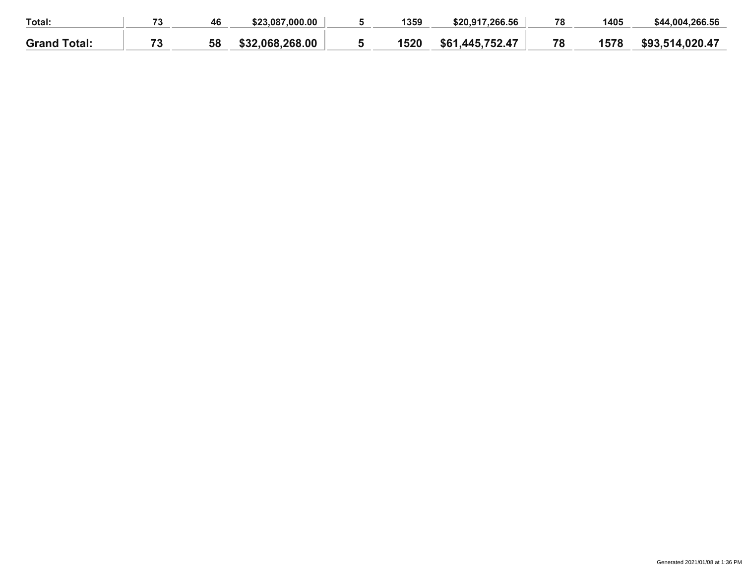| Total:              | 70 | 46 | \$23.087.000.00 | 1359 | \$20,917,266.56      | 78 | 1405 | \$44,004,266.56     |
|---------------------|----|----|-----------------|------|----------------------|----|------|---------------------|
| <b>Grand Total:</b> | フク | 58 | \$32,068,268,00 | 1520 | .,445,752.47<br>\$61 | 78 | 1578 | \$93<br>.514.020.47 |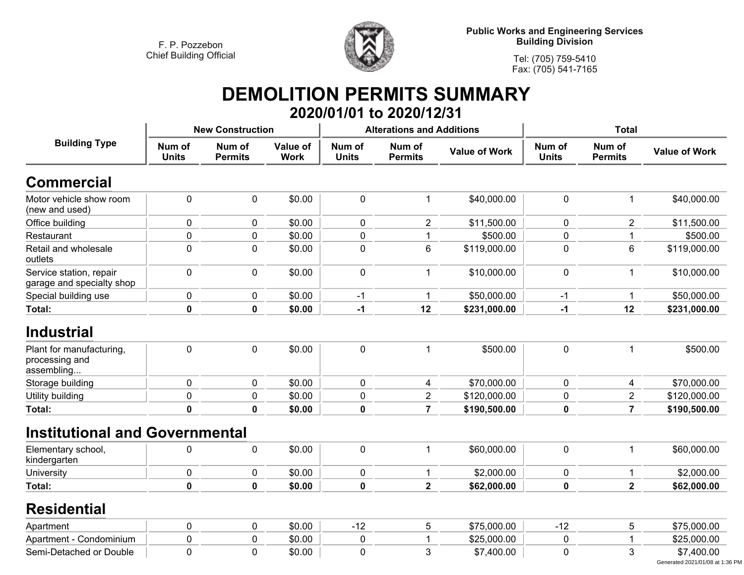

**Public Works and Engineering Services Building Division**

**Tel: (705) 759-5410 Fax: (705) 541-7165**

### **DEMOLITION PERMITS SUMMARY 2020/01/01 to 2020/12/31**

|                                                          |                        | <b>New Construction</b>  |                                |                        | <b>Alterations and Additions</b> |                      | <b>Total</b>           |                          |                      |
|----------------------------------------------------------|------------------------|--------------------------|--------------------------------|------------------------|----------------------------------|----------------------|------------------------|--------------------------|----------------------|
| <b>Building Type</b>                                     | Num of<br><b>Units</b> | Num of<br><b>Permits</b> | <b>Value of</b><br><b>Work</b> | Num of<br><b>Units</b> | Num of<br><b>Permits</b>         | <b>Value of Work</b> | Num of<br><b>Units</b> | Num of<br><b>Permits</b> | <b>Value of Work</b> |
| <b>Commercial</b>                                        |                        |                          |                                |                        |                                  |                      |                        |                          |                      |
| Motor vehicle show room<br>(new and used)                | $\mathbf 0$            | $\mathbf 0$              | \$0.00                         | 0                      | $\mathbf{1}$                     | \$40,000.00          | $\mathbf 0$            | $\mathbf 1$              | \$40,000.00          |
| Office building                                          | $\mathbf 0$            | $\mathbf 0$              | \$0.00                         | 0                      | $\overline{2}$                   | \$11,500.00          | $\mathbf 0$            | $\overline{2}$           | \$11,500.00          |
| Restaurant                                               | $\pmb{0}$              | 0                        | \$0.00                         | 0                      | 1                                | \$500.00             | $\mathbf 0$            | 1                        | \$500.00             |
| Retail and wholesale<br>outlets                          | $\mathbf 0$            | $\pmb{0}$                | \$0.00                         | $\mathbf 0$            | 6                                | \$119,000.00         | $\mathbf 0$            | 6                        | \$119,000.00         |
| Service station, repair<br>garage and specialty shop     | $\mathbf 0$            | $\pmb{0}$                | \$0.00                         | 0                      | 1                                | \$10,000.00          | $\mathbf 0$            | 1                        | \$10,000.00          |
| Special building use                                     | $\pmb{0}$              | $\pmb{0}$                | \$0.00                         | $-1$                   | 1                                | \$50,000.00          | $-1$                   |                          | \$50,000.00          |
| Total:                                                   | $\mathbf 0$            | $\mathbf 0$              | \$0.00                         | $-1$                   | 12                               | \$231,000.00         | $-1$                   | 12                       | \$231,000.00         |
| <b>Industrial</b>                                        |                        |                          |                                |                        |                                  |                      |                        |                          |                      |
| Plant for manufacturing,<br>processing and<br>assembling | $\mathbf 0$            | $\mathbf 0$              | \$0.00                         | $\mathbf 0$            | 1                                | \$500.00             | $\mathbf 0$            |                          | \$500.00             |
| Storage building                                         | $\mathbf 0$            | $\pmb{0}$                | \$0.00                         | $\mathbf 0$            | $\overline{4}$                   | \$70,000.00          | $\mathbf 0$            | $\overline{4}$           | \$70,000.00          |
| Utility building                                         | $\pmb{0}$              | $\pmb{0}$                | \$0.00                         | 0                      | $\overline{2}$                   | \$120,000.00         | 0                      | $\overline{2}$           | \$120,000.00         |
| <b>Total:</b>                                            | $\mathbf 0$            | $\mathbf 0$              | \$0.00                         | $\mathbf 0$            | $\overline{7}$                   | \$190,500.00         | 0                      | $\overline{7}$           | \$190,500.00         |
| <b>Institutional and Governmental</b>                    |                        |                          |                                |                        |                                  |                      |                        |                          |                      |
| Elementary school,<br>kindergarten                       | $\pmb{0}$              | $\pmb{0}$                | \$0.00                         | 0                      | 1                                | \$60,000.00          | $\pmb{0}$              | 1                        | \$60,000.00          |
| University                                               | $\pmb{0}$              | $\pmb{0}$                | \$0.00                         | 0                      | 1                                | \$2,000.00           | $\mathbf 0$            | 1                        | \$2,000.00           |
| Total:                                                   | $\mathbf 0$            | $\mathbf 0$              | \$0.00                         | $\mathbf 0$            | $\overline{\mathbf{2}}$          | \$62,000.00          | 0                      | $\mathbf{2}$             | \$62,000.00          |
| <b>Residential</b>                                       |                        |                          |                                |                        |                                  |                      |                        |                          |                      |
| Apartment                                                | $\pmb{0}$              | $\pmb{0}$                | \$0.00                         | $-12$                  | 5                                | \$75,000.00          | $-12$                  | 5                        | \$75,000.00          |
| Apartment - Condominium                                  | $\mathbf 0$            | $\mathbf 0$              | \$0.00                         | 0                      | 1                                | \$25,000.00          | $\mathbf 0$            |                          | \$25,000.00          |
| Semi-Detached or Double                                  | $\mathbf 0$            | $\mathbf 0$              | \$0.00                         | 0                      | 3                                | \$7,400.00           | $\mathbf 0$            | 3                        | \$7,400.00           |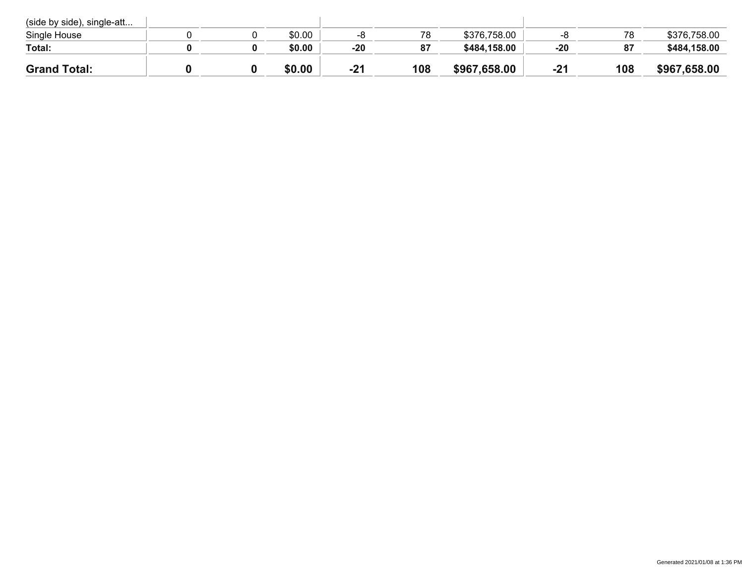| (side by side), single-att |  |        |       |     |              |       |     |              |
|----------------------------|--|--------|-------|-----|--------------|-------|-----|--------------|
| Single House               |  | \$0.00 | -0    | 78  | \$376,758.00 |       | 78  | \$376,758.00 |
| Total:                     |  | \$0.00 | $-20$ | 87  | \$484,158.00 | $-20$ | 87  | \$484,158.00 |
| <b>Grand Total:</b>        |  | \$0.00 | $-21$ | 108 | \$967,658.00 | $-21$ | 108 | \$967,658.00 |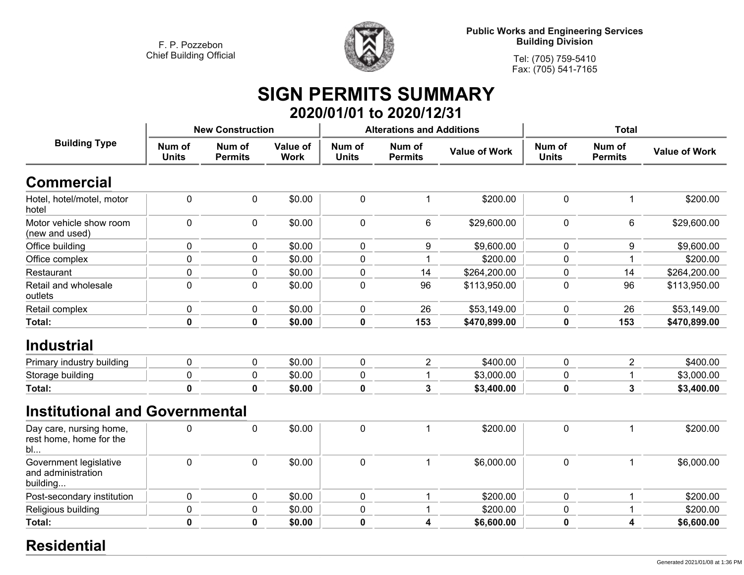

**Public Works and Engineering Services Building Division**

**Tel: (705) 759-5410Fax: (705) 541-7165**

## **SIGN PERMITS SUMMARY 2020/01/01 to 2020/12/31**

|                                                          |                        | <b>New Construction</b>  |                         |                        | <b>Alterations and Additions</b> |                      | <b>Total</b>           |                          |                      |
|----------------------------------------------------------|------------------------|--------------------------|-------------------------|------------------------|----------------------------------|----------------------|------------------------|--------------------------|----------------------|
| <b>Building Type</b>                                     | Num of<br><b>Units</b> | Num of<br><b>Permits</b> | Value of<br><b>Work</b> | Num of<br><b>Units</b> | Num of<br><b>Permits</b>         | <b>Value of Work</b> | Num of<br><b>Units</b> | Num of<br><b>Permits</b> | <b>Value of Work</b> |
| <b>Commercial</b>                                        |                        |                          |                         |                        |                                  |                      |                        |                          |                      |
| Hotel, hotel/motel, motor<br>hotel                       | $\pmb{0}$              | $\pmb{0}$                | \$0.00                  | 0                      | 1                                | \$200.00             | $\pmb{0}$              | 1                        | \$200.00             |
| Motor vehicle show room<br>(new and used)                | 0                      | 0                        | \$0.00                  | 0                      | 6                                | \$29,600.00          | 0                      | 6                        | \$29,600.00          |
| Office building                                          | $\mathbf 0$            | $\pmb{0}$                | \$0.00                  | 0                      | 9                                | \$9,600.00           | $\mathbf 0$            | 9                        | \$9,600.00           |
| Office complex                                           | $\pmb{0}$              | $\pmb{0}$                | \$0.00                  | $\mathbf 0$            |                                  | \$200.00             | 0                      |                          | \$200.00             |
| Restaurant                                               | 0                      | 0                        | \$0.00                  | 0                      | 14                               | \$264,200.00         | 0                      | 14                       | \$264,200.00         |
| Retail and wholesale<br>outlets                          | 0                      | $\mathbf 0$              | \$0.00                  | 0                      | 96                               | \$113,950.00         | 0                      | 96                       | \$113,950.00         |
| Retail complex                                           | $\pmb{0}$              | $\pmb{0}$                | \$0.00                  | 0                      | 26                               | \$53,149.00          | $\pmb{0}$              | 26                       | \$53,149.00          |
| Total:                                                   | $\mathbf 0$            | $\mathbf 0$              | \$0.00                  | 0                      | 153                              | \$470,899.00         | 0                      | 153                      | \$470,899.00         |
| <b>Industrial</b>                                        |                        |                          |                         |                        |                                  |                      |                        |                          |                      |
| Primary industry building                                | $\pmb{0}$              | $\pmb{0}$                | \$0.00                  | 0                      | $\overline{2}$                   | \$400.00             | $\mathbf 0$            | $\overline{2}$           | \$400.00             |
| Storage building                                         | $\pmb{0}$              | $\pmb{0}$                | \$0.00                  | $\mathbf 0$            | $\mathbf{1}$                     | \$3,000.00           | 0                      |                          | \$3,000.00           |
| <b>Total:</b>                                            | $\mathbf 0$            | $\mathbf{0}$             | \$0.00                  | 0                      | 3                                | \$3,400.00           | 0                      | 3                        | \$3,400.00           |
| <b>Institutional and Governmental</b>                    |                        |                          |                         |                        |                                  |                      |                        |                          |                      |
| Day care, nursing home,<br>rest home, home for the<br>bl | $\pmb{0}$              | $\pmb{0}$                | \$0.00                  | 0                      | $\mathbf 1$                      | \$200.00             | $\mathbf 0$            | 1                        | \$200.00             |
| Government legislative<br>and administration<br>building | $\mathbf 0$            | $\pmb{0}$                | \$0.00                  | $\pmb{0}$              | 1                                | \$6,000.00           | $\mathbf 0$            | 1                        | \$6,000.00           |
| Post-secondary institution                               | $\pmb{0}$              | $\pmb{0}$                | \$0.00                  | $\mathbf 0$            | $\mathbf 1$                      | \$200.00             | $\pmb{0}$              |                          | \$200.00             |
| Religious building                                       | 0                      | 0                        | \$0.00                  | 0                      |                                  | \$200.00             | $\pmb{0}$              |                          | \$200.00             |
| <b>Total:</b>                                            | $\mathbf 0$            | $\mathbf 0$              | \$0.00                  | $\mathbf 0$            | 4                                | \$6,600.00           | $\mathbf 0$            | 4                        | \$6,600.00           |

#### **Residential**